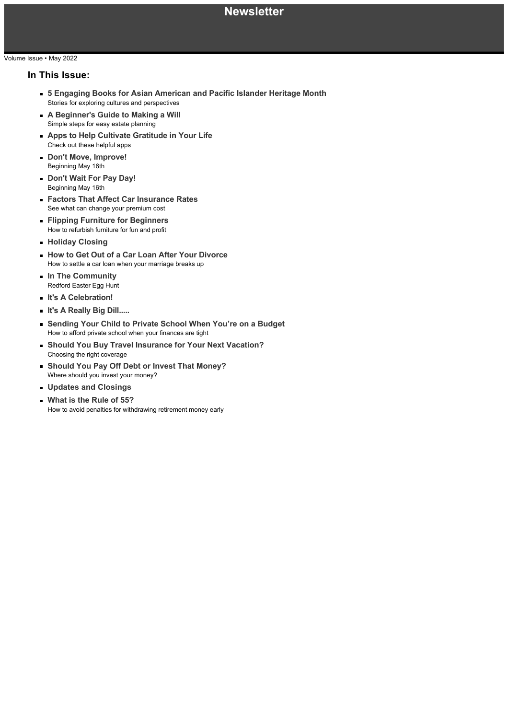### **Newsletter**

### Volume Issue • May 2022

### **In This Issue:**

- **5 Engaging Books for Asian American and Pacific Islander Heritage Month** Stories for exploring cultures and perspectives
- **A Beginner's Guide to Making a Will** Simple steps for easy estate planning
- **Apps to Help Cultivate Gratitude in Your Life** Check out these helpful apps
- **Don't Move, Improve!** Beginning May 16th
- **Don't Wait For Pay Day!** Beginning May 16th
- **Factors That Affect Car Insurance Rates** See what can change your premium cost
- **Flipping Furniture for Beginners** How to refurbish furniture for fun and profit
- **Holiday Closing**
- **How to Get Out of a Car Loan After Your Divorce** How to settle a car loan when your marriage breaks up
- **In The Community** Redford Easter Egg Hunt
- **It's A Celebration!**
- **It's A Really Big Dill.....**
- **Sending Your Child to Private School When You're on a Budget** How to afford private school when your finances are tight
- **Should You Buy Travel Insurance for Your Next Vacation?** Choosing the right coverage
- **Should You Pay Off Debt or Invest That Money?**  $\blacksquare$ Where should you invest your money?
- **Updates and Closings**
- **What is the Rule of 55?** How to avoid penalties for withdrawing retirement money early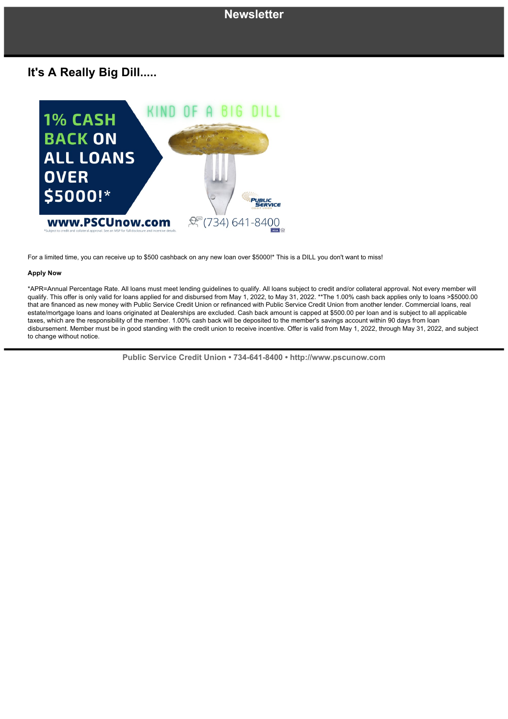# **It's A Really Big Dill.....**



For a limited time, you can receive up to \$500 cashback on any new loan over \$5000!\* This is a DILL you don't want to miss!

### **Apply Now**

\*APR=Annual Percentage Rate. All loans must meet lending guidelines to qualify. All loans subject to credit and/or collateral approval. Not every member will qualify. This offer is only valid for loans applied for and disbursed from May 1, 2022, to May 31, 2022. \*\*The 1.00% cash back applies only to loans >\$5000.00 that are financed as new money with Public Service Credit Union or refinanced with Public Service Credit Union from another lender. Commercial loans, real estate/mortgage loans and loans originated at Dealerships are excluded. Cash back amount is capped at \$500.00 per loan and is subject to all applicable taxes, which are the responsibility of the member. 1.00% cash back will be deposited to the member's savings account within 90 days from loan disbursement. Member must be in good standing with the credit union to receive incentive. Offer is valid from May 1, 2022, through May 31, 2022, and subject to change without notice.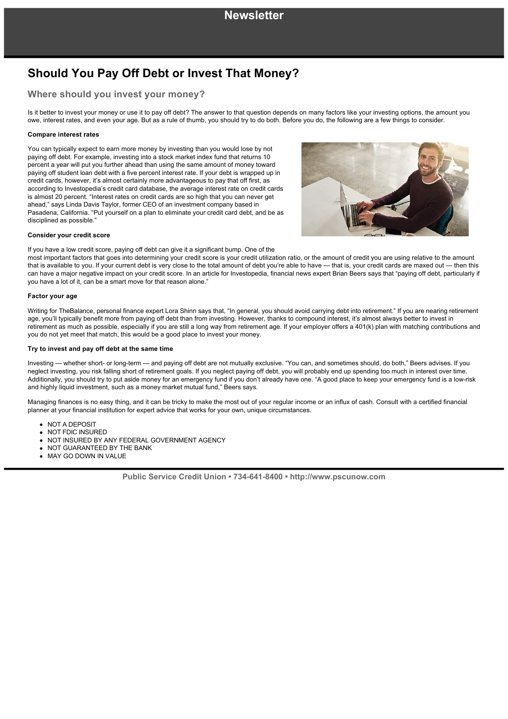# **Should You Pay Off Debt or Invest That Money?**

### **Where should you invest your money?**

Is it better to invest your money or use it to pay off debt? The answer to that question depends on many factors like your investing options, the amount you owe, interest rates, and even your age. But as a rule of thumb, you should try to do both. Before you do, the following are a few things to consider.

### **Compare interest rates**

You can typically expect to earn more money by investing than you would lose by not paying off debt. For example, investing into a stock market index fund that returns 10 percent a year will put you further ahead than using the same amount of money toward paying off student loan debt with a five percent interest rate. If your debt is wrapped up in credit cards, however, it's almost certainly more advantageous to pay that off first, as according to Investopedia's credit card database, the average interest rate on credit cards is almost 20 percent. "Interest rates on credit cards are so high that you can never get ahead," says Linda Davis Taylor, former CEO of an investment company based in Pasadena, California. "Put yourself on a plan to eliminate your credit card debt, and be as disciplined as possible."



### **Consider your credit score**

If you have a low credit score, paying off debt can give it a significant bump. One of the

most important factors that goes into determining your credit score is your credit utilization ratio, or the amount of credit you are using relative to the amount that is available to you. If your current debt is very close to the total amount of debt you're able to have — that is, your credit cards are maxed out — then this can have a major negative impact on your credit score. In an article for Investopedia, financial news expert Brian Beers says that "paying off debt, particularly if you have a lot of it, can be a smart move for that reason alone."

### **Factor your age**

Writing for TheBalance, personal finance expert Lora Shinn says that, "In general, you should avoid carrying debt into retirement." If you are nearing retirement age, you'll typically benefit more from paying off debt than from investing. However, thanks to compound interest, it's almost always better to invest in retirement as much as possible, especially if you are still a long way from retirement age. If your employer offers a 401(k) plan with matching contributions and you do not yet meet that match, this would be a good place to invest your money.

### **Try to invest and pay off debt at the same time**

Investing — whether short- or long-term — and paying off debt are not mutually exclusive. "You can, and sometimes should, do both," Beers advises. If you neglect investing, you risk falling short of retirement goals. If you neglect paying off debt, you will probably end up spending too much in interest over time. Additionally, you should try to put aside money for an emergency fund if you don't already have one. "A good place to keep your emergency fund is a lowrisk and highly liquid investment, such as a money market mutual fund," Beers says.

Managing finances is no easy thing, and it can be tricky to make the most out of your regular income or an influx of cash. Consult with a certified financial planner at your financial institution for expert advice that works for your own, unique circumstances.

- NOT A DEPOSIT
- NOT FDIC INSURED
- NOT INSURED BY ANY FEDERAL GOVERNMENT AGENCY
- NOT GUARANTEED BY THE BANK
- MAY GO DOWN IN VALUE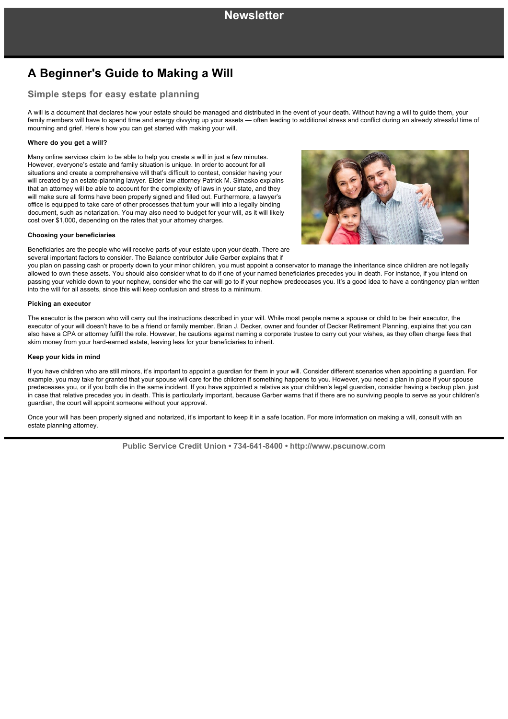# **A Beginner's Guide to Making a Will**

### **Simple steps for easy estate planning**

A will is a document that declares how your estate should be managed and distributed in the event of your death. Without having a will to guide them, your family members will have to spend time and energy divvying up your assets — often leading to additional stress and conflict during an already stressful time of mourning and grief. Here's how you can get started with making your will.

#### **Where do you get a will?**

Many online services claim to be able to help you create a will in just a few minutes. However, everyone's estate and family situation is unique. In order to account for all situations and create a comprehensive will that's difficult to contest, consider having your will created by an estate-planning lawyer. Elder law attorney Patrick M. Simasko explains that an attorney will be able to account for the complexity of laws in your state, and they will make sure all forms have been properly signed and filled out. Furthermore, a lawyer's office is equipped to take care of other processes that turn your will into a legally binding document, such as notarization. You may also need to budget for your will, as it will likely cost over \$1,000, depending on the rates that your attorney charges.



#### **Choosing your beneficiaries**

Beneficiaries are the people who will receive parts of your estate upon your death. There are several important factors to consider. The Balance contributor Julie Garber explains that if

you plan on passing cash or property down to your minor children, you must appoint a conservator to manage the inheritance since children are not legally allowed to own these assets. You should also consider what to do if one of your named beneficiaries precedes you in death. For instance, if you intend on passing your vehicle down to your nephew, consider who the car will go to if your nephew predeceases you. It's a good idea to have a contingency plan written into the will for all assets, since this will keep confusion and stress to a minimum.

#### **Picking an executor**

The executor is the person who will carry out the instructions described in your will. While most people name a spouse or child to be their executor, the executor of your will doesn't have to be a friend or family member. Brian J. Decker, owner and founder of Decker Retirement Planning, explains that you can also have a CPA or attorney fulfill the role. However, he cautions against naming a corporate trustee to carry out your wishes, as they often charge fees that skim money from your hard-earned estate, leaving less for your beneficiaries to inherit.

### **Keep your kids in mind**

If you have children who are still minors, it's important to appoint a guardian for them in your will. Consider different scenarios when appointing a guardian. For example, you may take for granted that your spouse will care for the children if something happens to you. However, you need a plan in place if your spouse predeceases you, or if you both die in the same incident. If you have appointed a relative as your children's legal guardian, consider having a backup plan, just in case that relative precedes you in death. This is particularly important, because Garber warns that if there are no surviving people to serve as your children's guardian, the court will appoint someone without your approval.

Once your will has been properly signed and notarized, it's important to keep it in a safe location. For more information on making a will, consult with an estate planning attorney.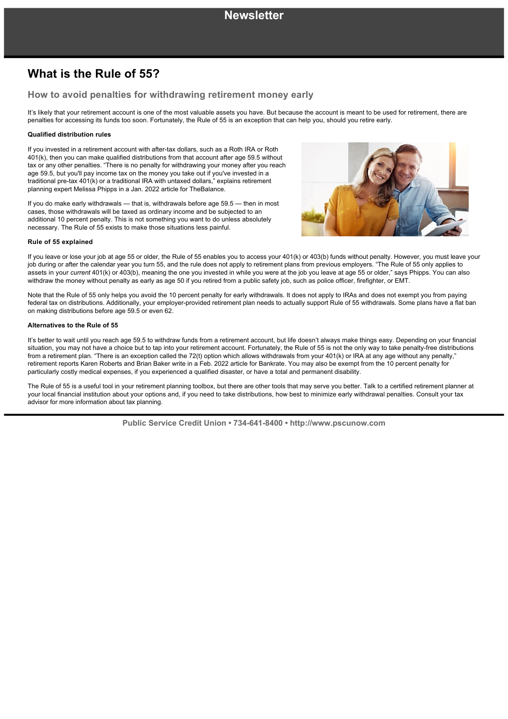# **What is the Rule of 55?**

### **How to avoid penalties for withdrawing retirement money early**

It's likely that your retirement account is one of the most valuable assets you have. But because the account is meant to be used for retirement, there are penalties for accessing its funds too soon. Fortunately, the Rule of 55 is an exception that can help you, should you retire early.

### **Qualified distribution rules**

If vou invested in a retirement account with after-tax dollars, such as a Roth IRA or Roth 401(k), then you can make qualified distributions from that account after age 59.5 without tax or any other penalties. "There is no penalty for withdrawing your money after you reach age 59.5, but you'll pay income tax on the money you take out if you've invested in a traditional pre-tax 401(k) or a traditional IRA with untaxed dollars," explains retirement planning expert Melissa Phipps in a Jan. 2022 article for TheBalance.

If you do make early withdrawals — that is, withdrawals before age 59.5 — then in most cases, those withdrawals will be taxed as ordinary income and be subjected to an additional 10 percent penalty. This is not something you want to do unless absolutely necessary. The Rule of 55 exists to make those situations less painful.



#### **Rule of 55 explained**

If you leave or lose your job at age 55 or older, the Rule of 55 enables you to access your 401(k) or 403(b) funds without penalty. However, you must leave your job during or after the calendar year you turn 55, and the rule does not apply to retirement plans from previous employers. "The Rule of 55 only applies to assets in your *current* 401(k) or 403(b), meaning the one you invested in while you were at the job you leave at age 55 or older," says Phipps. You can also withdraw the money without penalty as early as age 50 if you retired from a public safety job, such as police officer, firefighter, or EMT.

Note that the Rule of 55 only helps you avoid the 10 percent penalty for early withdrawals. It does not apply to IRAs and does not exempt you from paying federal tax on distributions. Additionally, your employer-provided retirement plan needs to actually support Rule of 55 withdrawals. Some plans have a flat ban on making distributions before age 59.5 or even 62.

#### **Alternatives to the Rule of 55**

It's better to wait until you reach age 59.5 to withdraw funds from a retirement account, but life doesn't always make things easy. Depending on your financial situation, you may not have a choice but to tap into your retirement account. Fortunately, the Rule of 55 is not the only way to take penalty-free distributions from a retirement plan. "There is an exception called the 72(t) option which allows withdrawals from your 401(k) or IRA at any age without any penalty," retirement reports Karen Roberts and Brian Baker write in a Feb. 2022 article for Bankrate. You may also be exempt from the 10 percent penalty for particularly costly medical expenses, if you experienced a qualified disaster, or have a total and permanent disability.

The Rule of 55 is a useful tool in your retirement planning toolbox, but there are other tools that may serve you better. Talk to a certified retirement planner at your local financial institution about your options and, if you need to take distributions, how best to minimize early withdrawal penalties. Consult your tax advisor for more information about tax planning.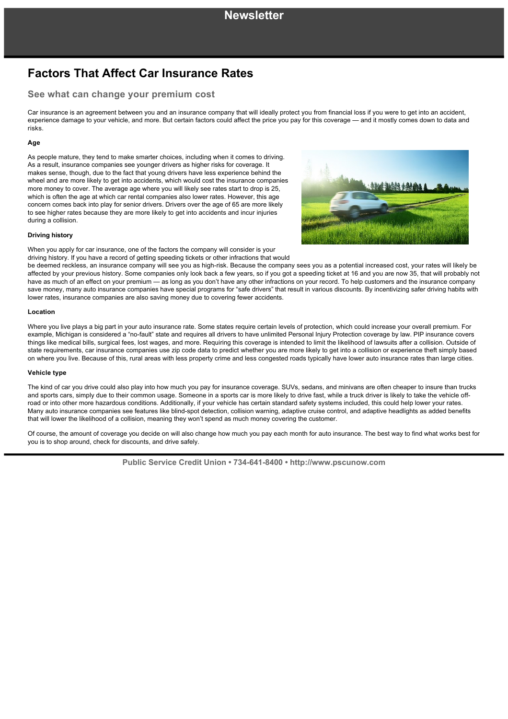# **Factors That Affect Car Insurance Rates**

### **See what can change your premium cost**

Car insurance is an agreement between you and an insurance company that will ideally protect you from financial loss if you were to get into an accident, experience damage to your vehicle, and more. But certain factors could affect the price you pay for this coverage — and it mostly comes down to data and risks.

### **Age**

As people mature, they tend to make smarter choices, including when it comes to driving. As a result, insurance companies see younger drivers as higher risks for coverage. It makes sense, though, due to the fact that young drivers have less experience behind the wheel and are more likely to get into accidents, which would cost the insurance companies more money to cover. The average age where you will likely see rates start to drop is 25, which is often the age at which car rental companies also lower rates. However, this age concern comes back into play for senior drivers. Drivers over the age of 65 are more likely to see higher rates because they are more likely to get into accidents and incur injuries during a collision.



### **Driving history**

When you apply for car insurance, one of the factors the company will consider is your driving history. If you have a record of getting speeding tickets or other infractions that would

be deemed reckless, an insurance company will see you as high-risk. Because the company sees you as a potential increased cost, your rates will likely be affected by your previous history. Some companies only look back a few years, so if you got a speeding ticket at 16 and you are now 35, that will probably not have as much of an effect on your premium — as long as you don't have any other infractions on your record. To help customers and the insurance company save money, many auto insurance companies have special programs for "safe drivers" that result in various discounts. By incentivizing safer driving habits with lower rates, insurance companies are also saving money due to covering fewer accidents.

#### **Location**

Where you live plays a big part in your auto insurance rate. Some states require certain levels of protection, which could increase your overall premium. For example, Michigan is considered a "no-fault" state and requires all drivers to have unlimited Personal Injury Protection coverage by law. PIP insurance covers things like medical bills, surgical fees, lost wages, and more. Requiring this coverage is intended to limit the likelihood of lawsuits after a collision. Outside of state requirements, car insurance companies use zip code data to predict whether you are more likely to get into a collision or experience theft simply based on where you live. Because of this, rural areas with less property crime and less congested roads typically have lower auto insurance rates than large cities.

### **Vehicle type**

The kind of car you drive could also play into how much you pay for insurance coverage. SUVs, sedans, and minivans are often cheaper to insure than trucks and sports cars, simply due to their common usage. Someone in a sports car is more likely to drive fast, while a truck driver is likely to take the vehicle offroad or into other more hazardous conditions. Additionally, if your vehicle has certain standard safety systems included, this could help lower your rates. Many auto insurance companies see features like blind-spot detection, collision warning, adaptive cruise control, and adaptive headlights as added benefits that will lower the likelihood of a collision, meaning they won't spend as much money covering the customer.

Of course, the amount of coverage you decide on will also change how much you pay each month for auto insurance. The best way to find what works best for you is to shop around, check for discounts, and drive safely.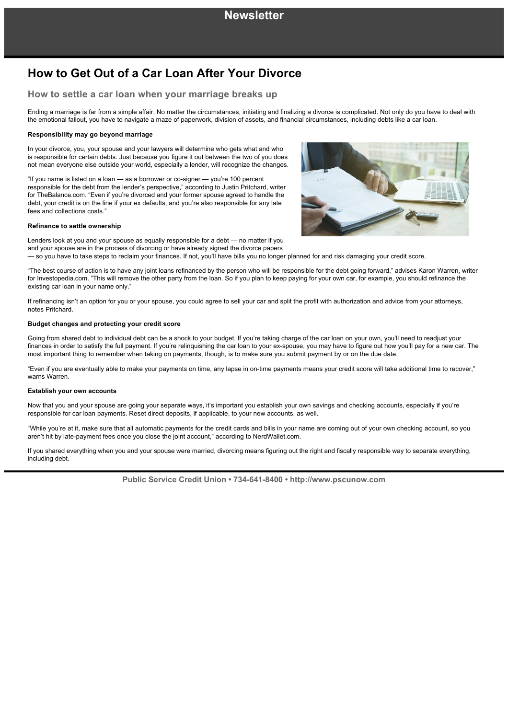# **How to Get Out of a Car Loan After Your Divorce**

### **How to settle a car loan when your marriage breaks up**

Ending a marriage is far from a simple affair. No matter the circumstances, initiating and finalizing a divorce is complicated. Not only do you have to deal with the emotional fallout, you have to navigate a maze of paperwork, division of assets, and financial circumstances, including debts like a car loan.

### **Responsibility may go beyond marriage**

In your divorce, you, your spouse and your lawyers will determine who gets what and who is responsible for certain debts. Just because you figure it out between the two of you does not mean everyone else outside your world, especially a lender, will recognize the changes.

"If you name is listed on a loan - as a borrower or co-signer - you're 100 percent responsible for the debt from the lender's perspective," according to Justin Pritchard, writer for TheBalance.com. "Even if you're divorced and your former spouse agreed to handle the debt, your credit is on the line if your ex defaults, and you're also responsible for any late fees and collections costs."

#### **Refinance to settle ownership**



Lenders look at you and your spouse as equally responsible for a debt — no matter if you and your spouse are in the process of divorcing or have already signed the divorce papers — so you have to take steps to reclaim your finances. If not, you'll have bills you no longer planned for and risk damaging your credit score.

"The best course of action is to have any joint loans refinanced by the person who will be responsible for the debt going forward," advises Karon Warren, writer for Investopedia.com. "This will remove the other party from the loan. So if you plan to keep paying for your own car, for example, you should refinance the existing car loan in your name only."

If refinancing isn't an option for you or your spouse, you could agree to sell your car and split the profit with authorization and advice from your attorneys, notes Pritchard.

### **Budget changes and protecting your credit score**

Going from shared debt to individual debt can be a shock to your budget. If you're taking charge of the car loan on your own, you'll need to readjust your finances in order to satisfy the full payment. If you're relinquishing the car loan to your ex-spouse, you may have to figure out how you'll pay for a new car. The most important thing to remember when taking on payments, though, is to make sure you submit payment by or on the due date.

"Even if you are eventually able to make your payments on time, any lapse in on-time payments means your credit score will take additional time to recover," warns Warren.

#### **Establish your own accounts**

Now that you and your spouse are going your separate ways, it's important you establish your own savings and checking accounts, especially if you're responsible for car loan payments. Reset direct deposits, if applicable, to your new accounts, as well.

"While you're at it, make sure that all automatic payments for the credit cards and bills in your name are coming out of your own checking account, so you aren't hit by late-payment fees once you close the joint account," according to NerdWallet.com.

If you shared everything when you and your spouse were married, divorcing means figuring out the right and fiscally responsible way to separate everything, including debt.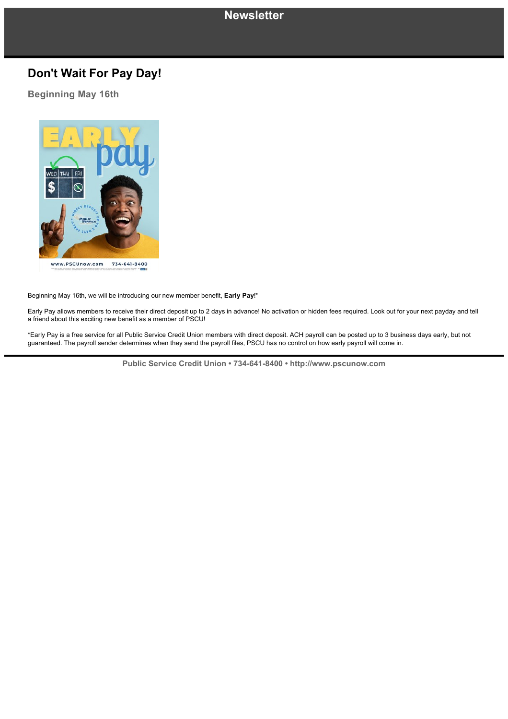## **Newsletter**

# **Don't Wait For Pay Day!**

### **Beginning May 16th**



Beginning May 16th, we will be introducing our new member benefit, **Early Pay**!\*

Early Pay allows members to receive their direct deposit up to 2 days in advance! No activation or hidden fees required. Look out for your next payday and tell a friend about this exciting new benefit as a member of PSCU!

\*Early Pay is a free service for all Public Service Credit Union members with direct deposit. ACH payroll can be posted up to 3 business days early, but not guaranteed. The payroll sender determines when they send the payroll files, PSCU has no control on how early payroll will come in.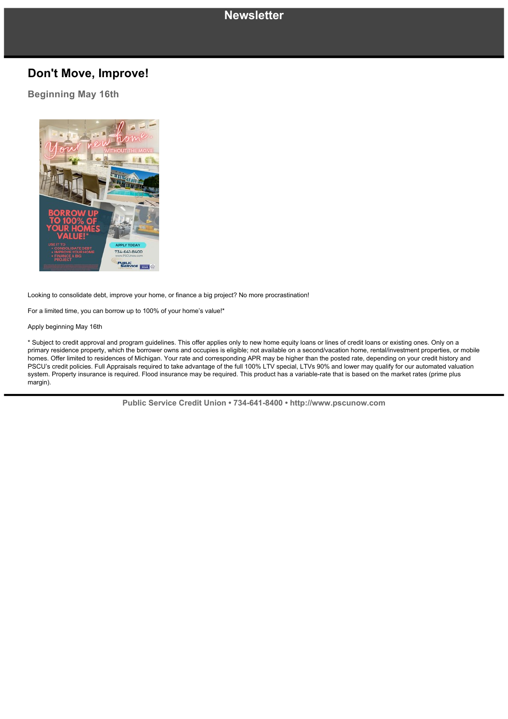# **Newsletter**

## **Don't Move, Improve!**

### **Beginning May 16th**



Looking to consolidate debt, improve your home, or finance a big project? No more procrastination!

For a limited time, you can borrow up to 100% of your home's value!\*

Apply beginning May 16th

\* Subject to credit approval and program guidelines. This offer applies only to new home equity loans or lines of credit loans or existing ones. Only on a primary residence property, which the borrower owns and occupies is eligible; not available on a second/vacation home, rental/investment properties, or mobile homes. Offer limited to residences of Michigan. Your rate and corresponding APR may be higher than the posted rate, depending on your credit history and PSCU's credit policies. Full Appraisals required to take advantage of the full 100% LTV special, LTVs 90% and lower may qualify for our automated valuation system. Property insurance is required. Flood insurance may be required. This product has a variable-rate that is based on the market rates (prime plus margin).